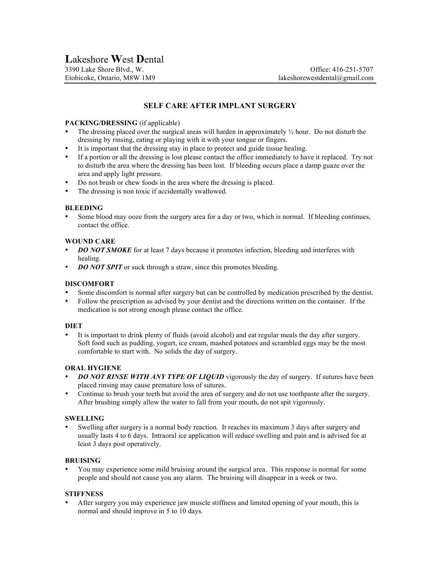# **SELF CARE AFTER IMPLANT SURGERY**

# **PACKING/DRESSING** (if applicable)

- The dressing placed over the surgical areas will harden in approximately  $\frac{1}{2}$  hour. Do not disturb the dressing by rinsing, eating or playing with it with your tongue or fingers.
- It is important that the dressing stay in place to protect and guide tissue healing.
- If a portion or all the dressing is lost please contact the office immediately to have it replaced. Try not to disturb the area where the dressing has been lost. If bleeding occurs place a damp guaze over the area and apply light pressure.
- Do not brush or chew foods in the area where the dressing is placed.
- The dressing is non toxic if accidentally swallowed.

### **BLEEDING**

• Some blood may ooze from the surgery area for a day or two, which is normal. If bleeding continues, contact the office.

## **WOUND CARE**

- **DO NOT SMOKE** for at least 7 days because it promotes infection, bleeding and interferes with healing.
- *DO NOT SPIT* or suck through a straw, since this promotes bleeding.

# **DISCOMFORT**

- Some discomfort is normal after surgery but can be controlled by medication prescribed by the dentist.
- Follow the prescription as advised by your dentist and the directions written on the container. If the medication is not strong enough please contact the office.

#### **DIET**

• It is important to drink plenty of fluids (avoid alcohol) and eat regular meals the day after surgery. Soft food such as pudding, yogurt, ice cream, mashed potatoes and scrambled eggs may be the most comfortable to start with. No solids the day of surgery.

#### **ORAL HYGIENE**

- **DO NOT RINSE WITH ANY TYPE OF LIQUID** vigorously the day of surgery. If sutures have been placed rinsing may cause premature loss of sutures.
- Continue to brush your teeth but avoid the area of surgery and do not use toothpaste after the surgery. After brushing simply allow the water to fall from your mouth, do not spit vigorously.

#### **SWELLING**

• Swelling after surgery is a normal body reaction. It reaches its maximum 3 days after surgery and usually lasts 4 to 6 days. Intraoral ice application will reduce swelling and pain and is advised for at least 3 days post operatively.

#### **BRUISING**

• You may experience some mild bruising around the surgical area. This response is normal for some people and should not cause you any alarm. The bruising will disappear in a week or two.

## **STIFFNESS**

• After surgery you may experience jaw muscle stiffness and limited opening of your mouth, this is normal and should improve in 5 to 10 days.